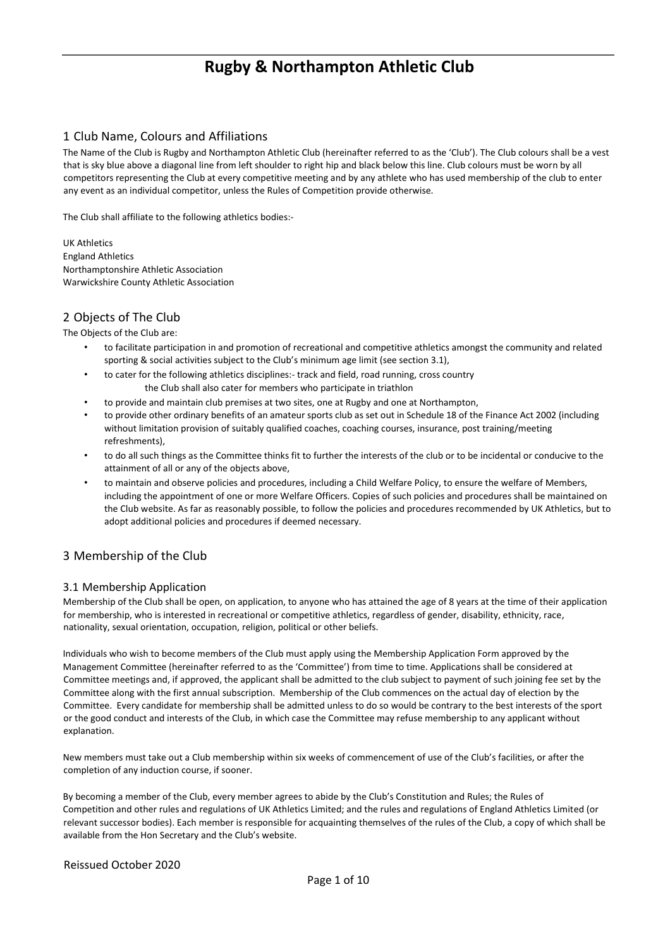## 1 Club Name, Colours and Affiliations

The Name of the Club is Rugby and Northampton Athletic Club (hereinafter referred to as the 'Club'). The Club colours shall be a vest that is sky blue above a diagonal line from left shoulder to right hip and black below this line. Club colours must be worn by all competitors representing the Club at every competitive meeting and by any athlete who has used membership of the club to enter any event as an individual competitor, unless the Rules of Competition provide otherwise.

The Club shall affiliate to the following athletics bodies:-

UK Athletics England Athletics Northamptonshire Athletic Association Warwickshire County Athletic Association

## 2 Objects of The Club

The Objects of the Club are:

- to facilitate participation in and promotion of recreational and competitive athletics amongst the community and related sporting & social activities subject to the Club's minimum age limit (see section 3.1),
- to cater for the following athletics disciplines:- track and field, road running, cross country the Club shall also cater for members who participate in triathlon
- to provide and maintain club premises at two sites, one at Rugby and one at Northampton,
- to provide other ordinary benefits of an amateur sports club as set out in Schedule 18 of the Finance Act 2002 (including without limitation provision of suitably qualified coaches, coaching courses, insurance, post training/meeting refreshments),
- to do all such things as the Committee thinks fit to further the interests of the club or to be incidental or conducive to the attainment of all or any of the objects above,
- to maintain and observe policies and procedures, including a Child Welfare Policy, to ensure the welfare of Members, including the appointment of one or more Welfare Officers. Copies of such policies and procedures shall be maintained on the Club website. As far as reasonably possible, to follow the policies and procedures recommended by UK Athletics, but to adopt additional policies and procedures if deemed necessary.

## 3 Membership of the Club

## 3.1 Membership Application

Membership of the Club shall be open, on application, to anyone who has attained the age of 8 years at the time of their application for membership, who is interested in recreational or competitive athletics, regardless of gender, disability, ethnicity, race, nationality, sexual orientation, occupation, religion, political or other beliefs.

Individuals who wish to become members of the Club must apply using the Membership Application Form approved by the Management Committee (hereinafter referred to as the 'Committee') from time to time. Applications shall be considered at Committee meetings and, if approved, the applicant shall be admitted to the club subject to payment of such joining fee set by the Committee along with the first annual subscription. Membership of the Club commences on the actual day of election by the Committee. Every candidate for membership shall be admitted unless to do so would be contrary to the best interests of the sport or the good conduct and interests of the Club, in which case the Committee may refuse membership to any applicant without explanation.

New members must take out a Club membership within six weeks of commencement of use of the Club's facilities, or after the completion of any induction course, if sooner.

By becoming a member of the Club, every member agrees to abide by the Club's Constitution and Rules; the Rules of Competition and other rules and regulations of UK Athletics Limited; and the rules and regulations of England Athletics Limited (or relevant successor bodies). Each member is responsible for acquainting themselves of the rules of the Club, a copy of which shall be available from the Hon Secretary and the Club's website.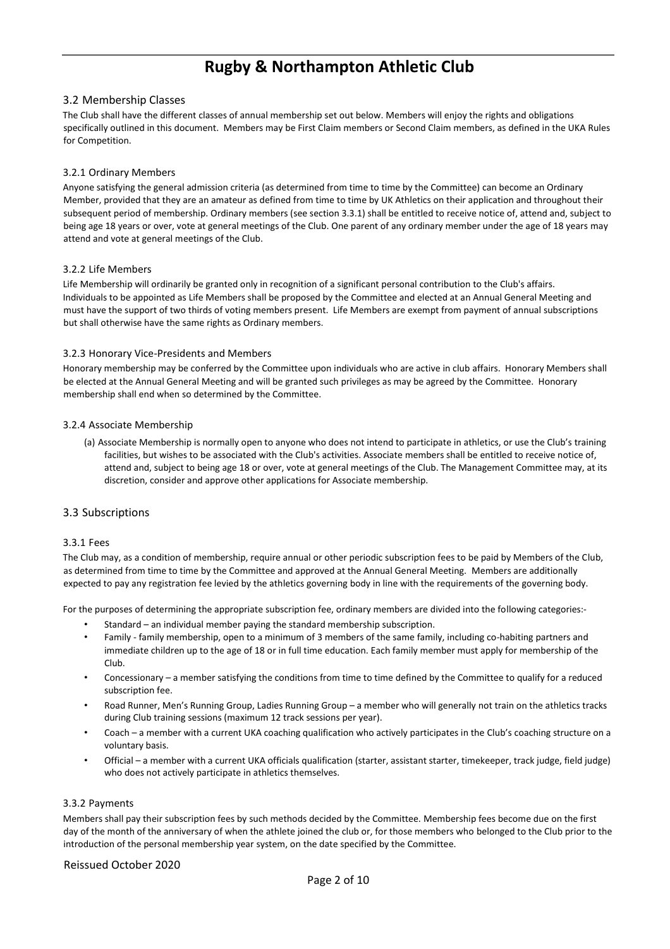#### 3.2 Membership Classes

The Club shall have the different classes of annual membership set out below. Members will enjoy the rights and obligations specifically outlined in this document. Members may be First Claim members or Second Claim members, as defined in the UKA Rules for Competition.

#### 3.2.1 Ordinary Members

Anyone satisfying the general admission criteria (as determined from time to time by the Committee) can become an Ordinary Member, provided that they are an amateur as defined from time to time by UK Athletics on their application and throughout their subsequent period of membership. Ordinary members (see section 3.3.1) shall be entitled to receive notice of, attend and, subject to being age 18 years or over, vote at general meetings of the Club. One parent of any ordinary member under the age of 18 years may attend and vote at general meetings of the Club.

#### 3.2.2 Life Members

Life Membership will ordinarily be granted only in recognition of a significant personal contribution to the Club's affairs. Individuals to be appointed as Life Members shall be proposed by the Committee and elected at an Annual General Meeting and must have the support of two thirds of voting members present. Life Members are exempt from payment of annual subscriptions but shall otherwise have the same rights as Ordinary members.

#### 3.2.3 Honorary Vice-Presidents and Members

Honorary membership may be conferred by the Committee upon individuals who are active in club affairs. Honorary Members shall be elected at the Annual General Meeting and will be granted such privileges as may be agreed by the Committee. Honorary membership shall end when so determined by the Committee.

#### 3.2.4 Associate Membership

(a) Associate Membership is normally open to anyone who does not intend to participate in athletics, or use the Club's training facilities, but wishes to be associated with the Club's activities. Associate members shall be entitled to receive notice of, attend and, subject to being age 18 or over, vote at general meetings of the Club. The Management Committee may, at its discretion, consider and approve other applications for Associate membership.

#### 3.3 Subscriptions

#### 3.3.1 Fees

The Club may, as a condition of membership, require annual or other periodic subscription fees to be paid by Members of the Club, as determined from time to time by the Committee and approved at the Annual General Meeting. Members are additionally expected to pay any registration fee levied by the athletics governing body in line with the requirements of the governing body.

For the purposes of determining the appropriate subscription fee, ordinary members are divided into the following categories:-

- Standard an individual member paying the standard membership subscription.
- Family family membership, open to a minimum of 3 members of the same family, including co-habiting partners and immediate children up to the age of 18 or in full time education. Each family member must apply for membership of the Club.
- Concessionary a member satisfying the conditions from time to time defined by the Committee to qualify for a reduced subscription fee.
- Road Runner, Men's Running Group, Ladies Running Group a member who will generally not train on the athletics tracks during Club training sessions (maximum 12 track sessions per year).
- Coach a member with a current UKA coaching qualification who actively participates in the Club's coaching structure on a voluntary basis.
- Official a member with a current UKA officials qualification (starter, assistant starter, timekeeper, track judge, field judge) who does not actively participate in athletics themselves.

#### 3.3.2 Payments

Members shall pay their subscription fees by such methods decided by the Committee. Membership fees become due on the first day of the month of the anniversary of when the athlete joined the club or, for those members who belonged to the Club prior to the introduction of the personal membership year system, on the date specified by the Committee.

#### Reissued October 2020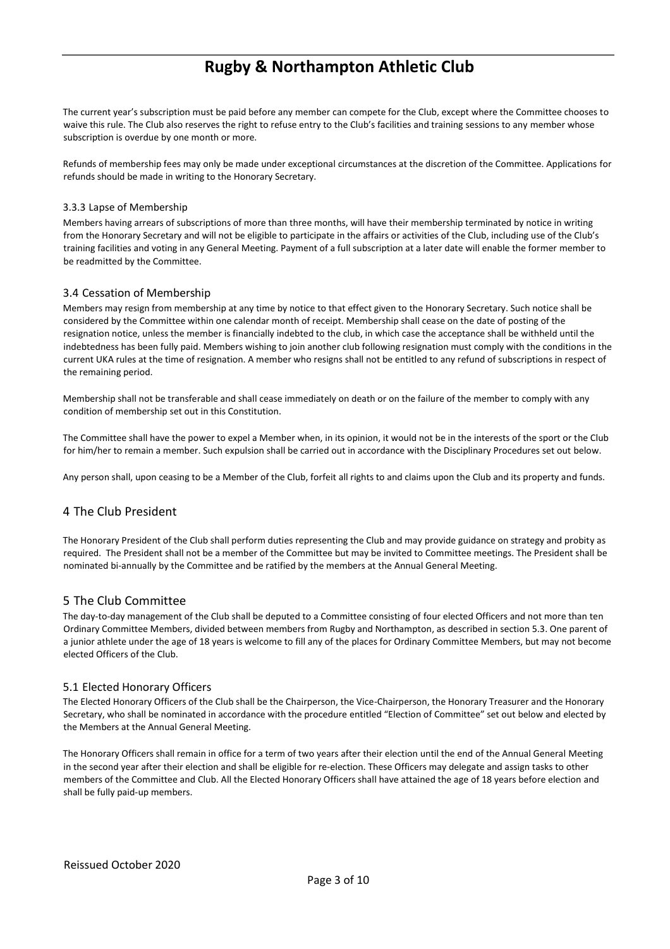The current year's subscription must be paid before any member can compete for the Club, except where the Committee chooses to waive this rule. The Club also reserves the right to refuse entry to the Club's facilities and training sessions to any member whose subscription is overdue by one month or more.

Refunds of membership fees may only be made under exceptional circumstances at the discretion of the Committee. Applications for refunds should be made in writing to the Honorary Secretary.

#### 3.3.3 Lapse of Membership

Members having arrears of subscriptions of more than three months, will have their membership terminated by notice in writing from the Honorary Secretary and will not be eligible to participate in the affairs or activities of the Club, including use of the Club's training facilities and voting in any General Meeting. Payment of a full subscription at a later date will enable the former member to be readmitted by the Committee.

## 3.4 Cessation of Membership

Members may resign from membership at any time by notice to that effect given to the Honorary Secretary. Such notice shall be considered by the Committee within one calendar month of receipt. Membership shall cease on the date of posting of the resignation notice, unless the member is financially indebted to the club, in which case the acceptance shall be withheld until the indebtedness has been fully paid. Members wishing to join another club following resignation must comply with the conditions in the current UKA rules at the time of resignation. A member who resigns shall not be entitled to any refund of subscriptions in respect of the remaining period.

Membership shall not be transferable and shall cease immediately on death or on the failure of the member to comply with any condition of membership set out in this Constitution.

The Committee shall have the power to expel a Member when, in its opinion, it would not be in the interests of the sport or the Club for him/her to remain a member. Such expulsion shall be carried out in accordance with the Disciplinary Procedures set out below.

Any person shall, upon ceasing to be a Member of the Club, forfeit all rights to and claims upon the Club and its property and funds.

## 4 The Club President

The Honorary President of the Club shall perform duties representing the Club and may provide guidance on strategy and probity as required. The President shall not be a member of the Committee but may be invited to Committee meetings. The President shall be nominated bi-annually by the Committee and be ratified by the members at the Annual General Meeting.

## 5 The Club Committee

The day-to-day management of the Club shall be deputed to a Committee consisting of four elected Officers and not more than ten Ordinary Committee Members, divided between members from Rugby and Northampton, as described in section 5.3. One parent of a junior athlete under the age of 18 years is welcome to fill any of the places for Ordinary Committee Members, but may not become elected Officers of the Club.

#### 5.1 Elected Honorary Officers

The Elected Honorary Officers of the Club shall be the Chairperson, the Vice-Chairperson, the Honorary Treasurer and the Honorary Secretary, who shall be nominated in accordance with the procedure entitled "Election of Committee" set out below and elected by the Members at the Annual General Meeting.

The Honorary Officers shall remain in office for a term of two years after their election until the end of the Annual General Meeting in the second year after their election and shall be eligible for re-election. These Officers may delegate and assign tasks to other members of the Committee and Club. All the Elected Honorary Officers shall have attained the age of 18 years before election and shall be fully paid-up members.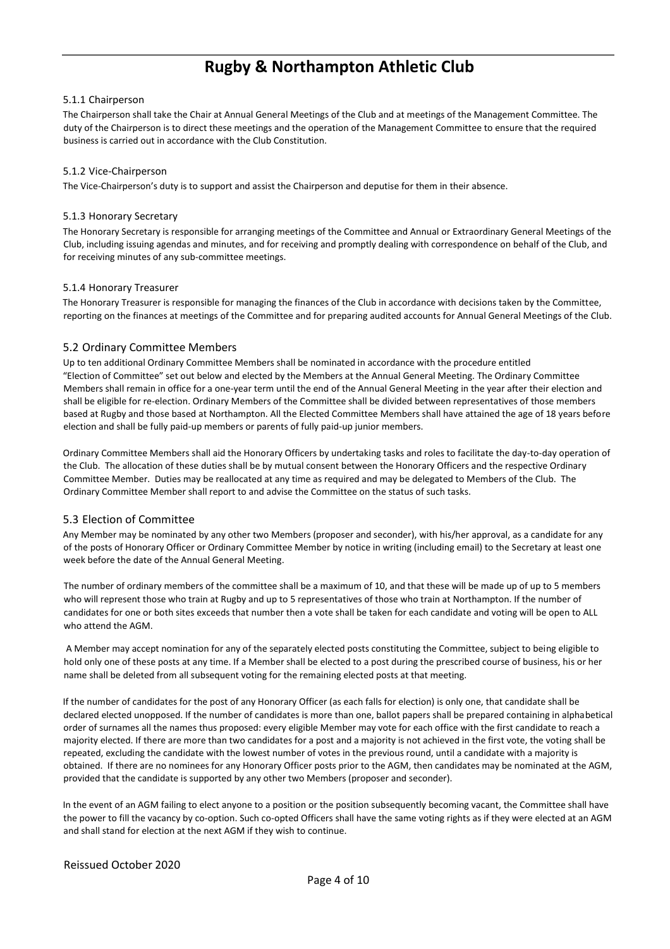#### 5.1.1 Chairperson

The Chairperson shall take the Chair at Annual General Meetings of the Club and at meetings of the Management Committee. The duty of the Chairperson is to direct these meetings and the operation of the Management Committee to ensure that the required business is carried out in accordance with the Club Constitution.

#### 5.1.2 Vice-Chairperson

The Vice-Chairperson's duty is to support and assist the Chairperson and deputise for them in their absence.

#### 5.1.3 Honorary Secretary

The Honorary Secretary is responsible for arranging meetings of the Committee and Annual or Extraordinary General Meetings of the Club, including issuing agendas and minutes, and for receiving and promptly dealing with correspondence on behalf of the Club, and for receiving minutes of any sub-committee meetings.

#### 5.1.4 Honorary Treasurer

The Honorary Treasurer is responsible for managing the finances of the Club in accordance with decisions taken by the Committee, reporting on the finances at meetings of the Committee and for preparing audited accounts for Annual General Meetings of the Club.

#### 5.2 Ordinary Committee Members

Up to ten additional Ordinary Committee Members shall be nominated in accordance with the procedure entitled "Election of Committee" set out below and elected by the Members at the Annual General Meeting. The Ordinary Committee Members shall remain in office for a one-year term until the end of the Annual General Meeting in the year after their election and shall be eligible for re-election. Ordinary Members of the Committee shall be divided between representatives of those members based at Rugby and those based at Northampton. All the Elected Committee Members shall have attained the age of 18 years before election and shall be fully paid-up members or parents of fully paid-up junior members.

Ordinary Committee Members shall aid the Honorary Officers by undertaking tasks and roles to facilitate the day-to-day operation of the Club. The allocation of these duties shall be by mutual consent between the Honorary Officers and the respective Ordinary Committee Member. Duties may be reallocated at any time as required and may be delegated to Members of the Club. The Ordinary Committee Member shall report to and advise the Committee on the status of such tasks.

#### 5.3 Election of Committee

Any Member may be nominated by any other two Members (proposer and seconder), with his/her approval, as a candidate for any of the posts of Honorary Officer or Ordinary Committee Member by notice in writing (including email) to the Secretary at least one week before the date of the Annual General Meeting.

The number of ordinary members of the committee shall be a maximum of 10, and that these will be made up of up to 5 members who will represent those who train at Rugby and up to 5 representatives of those who train at Northampton. If the number of candidates for one or both sites exceeds that number then a vote shall be taken for each candidate and voting will be open to ALL who attend the AGM.

A Member may accept nomination for any of the separately elected posts constituting the Committee, subject to being eligible to hold only one of these posts at any time. If a Member shall be elected to a post during the prescribed course of business, his or her name shall be deleted from all subsequent voting for the remaining elected posts at that meeting.

If the number of candidates for the post of any Honorary Officer (as each falls for election) is only one, that candidate shall be declared elected unopposed. If the number of candidates is more than one, ballot papers shall be prepared containing in alphabetical order of surnames all the names thus proposed: every eligible Member may vote for each office with the first candidate to reach a majority elected. If there are more than two candidates for a post and a majority is not achieved in the first vote, the voting shall be repeated, excluding the candidate with the lowest number of votes in the previous round, until a candidate with a majority is obtained. If there are no nominees for any Honorary Officer posts prior to the AGM, then candidates may be nominated at the AGM, provided that the candidate is supported by any other two Members (proposer and seconder).

In the event of an AGM failing to elect anyone to a position or the position subsequently becoming vacant, the Committee shall have the power to fill the vacancy by co-option. Such co-opted Officers shall have the same voting rights as if they were elected at an AGM and shall stand for election at the next AGM if they wish to continue.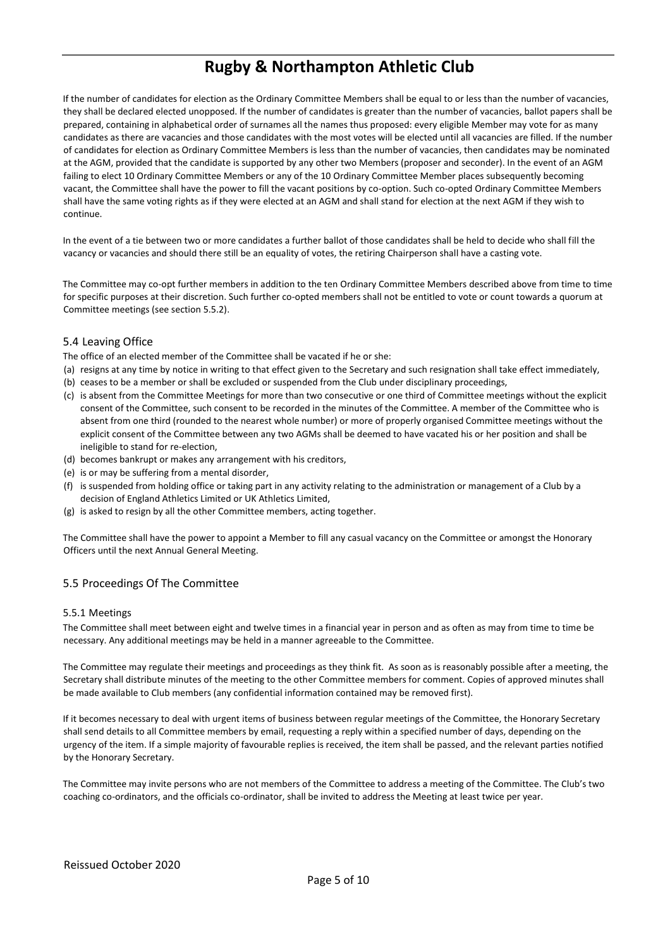If the number of candidates for election as the Ordinary Committee Members shall be equal to or less than the number of vacancies, they shall be declared elected unopposed. If the number of candidates is greater than the number of vacancies, ballot papers shall be prepared, containing in alphabetical order of surnames all the names thus proposed: every eligible Member may vote for as many candidates as there are vacancies and those candidates with the most votes will be elected until all vacancies are filled. If the number of candidates for election as Ordinary Committee Members is less than the number of vacancies, then candidates may be nominated at the AGM, provided that the candidate is supported by any other two Members (proposer and seconder). In the event of an AGM failing to elect 10 Ordinary Committee Members or any of the 10 Ordinary Committee Member places subsequently becoming vacant, the Committee shall have the power to fill the vacant positions by co-option. Such co-opted Ordinary Committee Members shall have the same voting rights as if they were elected at an AGM and shall stand for election at the next AGM if they wish to continue.

In the event of a tie between two or more candidates a further ballot of those candidates shall be held to decide who shall fill the vacancy or vacancies and should there still be an equality of votes, the retiring Chairperson shall have a casting vote.

The Committee may co-opt further members in addition to the ten Ordinary Committee Members described above from time to time for specific purposes at their discretion. Such further co-opted members shall not be entitled to vote or count towards a quorum at Committee meetings (see section 5.5.2).

#### 5.4 Leaving Office

The office of an elected member of the Committee shall be vacated if he or she:

- (a) resigns at any time by notice in writing to that effect given to the Secretary and such resignation shall take effect immediately,
- (b) ceases to be a member or shall be excluded or suspended from the Club under disciplinary proceedings,
- (c) is absent from the Committee Meetings for more than two consecutive or one third of Committee meetings without the explicit consent of the Committee, such consent to be recorded in the minutes of the Committee. A member of the Committee who is absent from one third (rounded to the nearest whole number) or more of properly organised Committee meetings without the explicit consent of the Committee between any two AGMs shall be deemed to have vacated his or her position and shall be ineligible to stand for re-election,
- (d) becomes bankrupt or makes any arrangement with his creditors,
- (e) is or may be suffering from a mental disorder,
- (f) is suspended from holding office or taking part in any activity relating to the administration or management of a Club by a decision of England Athletics Limited or UK Athletics Limited,
- (g) is asked to resign by all the other Committee members, acting together.

The Committee shall have the power to appoint a Member to fill any casual vacancy on the Committee or amongst the Honorary Officers until the next Annual General Meeting.

#### 5.5 Proceedings Of The Committee

#### 5.5.1 Meetings

The Committee shall meet between eight and twelve times in a financial year in person and as often as may from time to time be necessary. Any additional meetings may be held in a manner agreeable to the Committee.

The Committee may regulate their meetings and proceedings as they think fit. As soon as is reasonably possible after a meeting, the Secretary shall distribute minutes of the meeting to the other Committee members for comment. Copies of approved minutes shall be made available to Club members (any confidential information contained may be removed first).

If it becomes necessary to deal with urgent items of business between regular meetings of the Committee, the Honorary Secretary shall send details to all Committee members by email, requesting a reply within a specified number of days, depending on the urgency of the item. If a simple majority of favourable replies is received, the item shall be passed, and the relevant parties notified by the Honorary Secretary.

The Committee may invite persons who are not members of the Committee to address a meeting of the Committee. The Club's two coaching co-ordinators, and the officials co-ordinator, shall be invited to address the Meeting at least twice per year.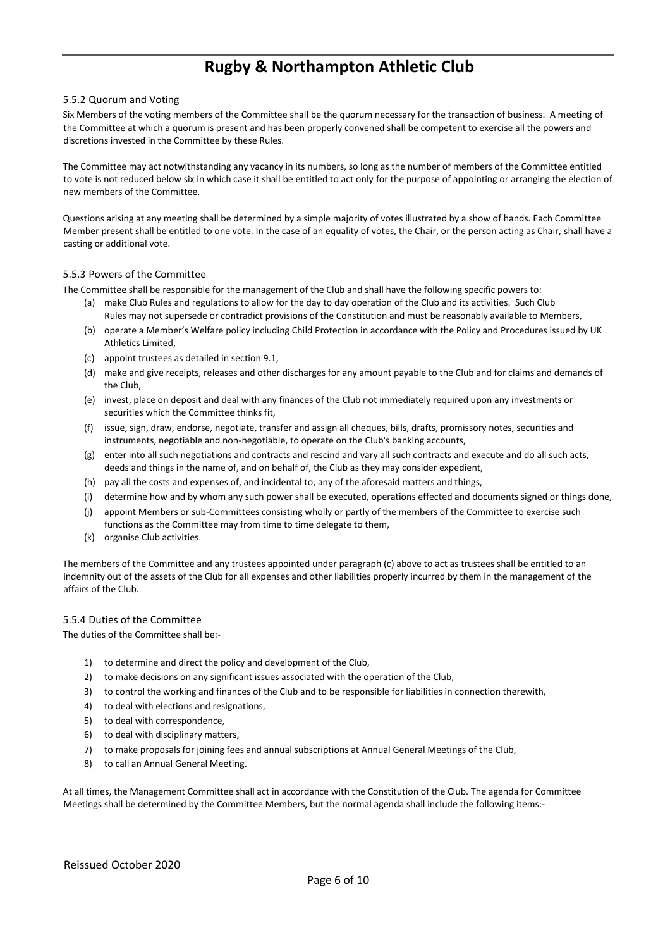#### 5.5.2 Quorum and Voting

Six Members of the voting members of the Committee shall be the quorum necessary for the transaction of business. A meeting of the Committee at which a quorum is present and has been properly convened shall be competent to exercise all the powers and discretions invested in the Committee by these Rules.

The Committee may act notwithstanding any vacancy in its numbers, so long as the number of members of the Committee entitled to vote is not reduced below six in which case it shall be entitled to act only for the purpose of appointing or arranging the election of new members of the Committee.

Questions arising at any meeting shall be determined by a simple majority of votes illustrated by a show of hands. Each Committee Member present shall be entitled to one vote. In the case of an equality of votes, the Chair, or the person acting as Chair, shall have a casting or additional vote.

#### 5.5.3 Powers of the Committee

The Committee shall be responsible for the management of the Club and shall have the following specific powers to:

- (a) make Club Rules and regulations to allow for the day to day operation of the Club and its activities. Such Club Rules may not supersede or contradict provisions of the Constitution and must be reasonably available to Members,
- (b) operate a Member's Welfare policy including Child Protection in accordance with the Policy and Procedures issued by UK Athletics Limited,
- (c) appoint trustees as detailed in section 9.1,
- (d) make and give receipts, releases and other discharges for any amount payable to the Club and for claims and demands of the Club,
- (e) invest, place on deposit and deal with any finances of the Club not immediately required upon any investments or securities which the Committee thinks fit,
- (f) issue, sign, draw, endorse, negotiate, transfer and assign all cheques, bills, drafts, promissory notes, securities and instruments, negotiable and non-negotiable, to operate on the Club's banking accounts,
- (g) enter into all such negotiations and contracts and rescind and vary all such contracts and execute and do all such acts, deeds and things in the name of, and on behalf of, the Club as they may consider expedient,
- (h) pay all the costs and expenses of, and incidental to, any of the aforesaid matters and things,
- (i) determine how and by whom any such power shall be executed, operations effected and documents signed or things done,
- (j) appoint Members or sub-Committees consisting wholly or partly of the members of the Committee to exercise such functions as the Committee may from time to time delegate to them,
- (k) organise Club activities.

The members of the Committee and any trustees appointed under paragraph (c) above to act as trustees shall be entitled to an indemnity out of the assets of the Club for all expenses and other liabilities properly incurred by them in the management of the affairs of the Club.

#### 5.5.4 Duties of the Committee

The duties of the Committee shall be:-

- 1) to determine and direct the policy and development of the Club,
- 2) to make decisions on any significant issues associated with the operation of the Club,
- 3) to control the working and finances of the Club and to be responsible for liabilities in connection therewith,
- 4) to deal with elections and resignations,
- 5) to deal with correspondence,
- 6) to deal with disciplinary matters,
- 7) to make proposals for joining fees and annual subscriptions at Annual General Meetings of the Club,
- 8) to call an Annual General Meeting.

At all times, the Management Committee shall act in accordance with the Constitution of the Club. The agenda for Committee Meetings shall be determined by the Committee Members, but the normal agenda shall include the following items:-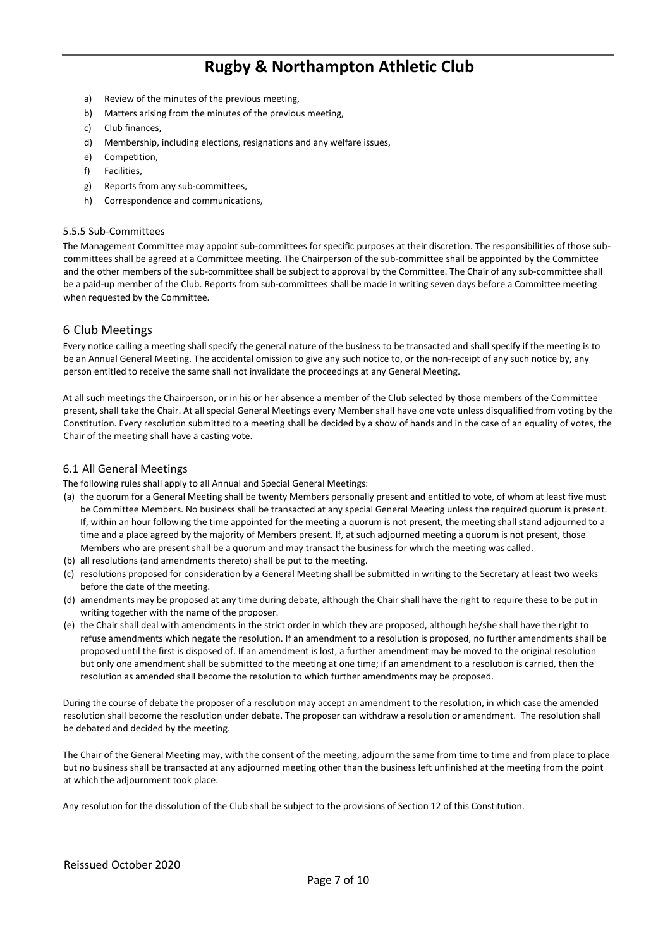- a) Review of the minutes of the previous meeting,
- b) Matters arising from the minutes of the previous meeting,
- c) Club finances,
- d) Membership, including elections, resignations and any welfare issues,
- e) Competition,
- f) Facilities,
- g) Reports from any sub-committees,
- h) Correspondence and communications,

#### 5.5.5 Sub-Committees

The Management Committee may appoint sub-committees for specific purposes at their discretion. The responsibilities of those subcommittees shall be agreed at a Committee meeting. The Chairperson of the sub-committee shall be appointed by the Committee and the other members of the sub-committee shall be subject to approval by the Committee. The Chair of any sub-committee shall be a paid-up member of the Club. Reports from sub-committees shall be made in writing seven days before a Committee meeting when requested by the Committee.

## 6 Club Meetings

Every notice calling a meeting shall specify the general nature of the business to be transacted and shall specify if the meeting is to be an Annual General Meeting. The accidental omission to give any such notice to, or the non-receipt of any such notice by, any person entitled to receive the same shall not invalidate the proceedings at any General Meeting.

At all such meetings the Chairperson, or in his or her absence a member of the Club selected by those members of the Committee present, shall take the Chair. At all special General Meetings every Member shall have one vote unless disqualified from voting by the Constitution. Every resolution submitted to a meeting shall be decided by a show of hands and in the case of an equality of votes, the Chair of the meeting shall have a casting vote.

#### 6.1 All General Meetings

The following rules shall apply to all Annual and Special General Meetings:

- (a) the quorum for a General Meeting shall be twenty Members personally present and entitled to vote, of whom at least five must be Committee Members. No business shall be transacted at any special General Meeting unless the required quorum is present. If, within an hour following the time appointed for the meeting a quorum is not present, the meeting shall stand adjourned to a time and a place agreed by the majority of Members present. If, at such adjourned meeting a quorum is not present, those Members who are present shall be a quorum and may transact the business for which the meeting was called.
- (b) all resolutions (and amendments thereto) shall be put to the meeting.
- (c) resolutions proposed for consideration by a General Meeting shall be submitted in writing to the Secretary at least two weeks before the date of the meeting.
- (d) amendments may be proposed at any time during debate, although the Chair shall have the right to require these to be put in writing together with the name of the proposer.
- (e) the Chair shall deal with amendments in the strict order in which they are proposed, although he/she shall have the right to refuse amendments which negate the resolution. If an amendment to a resolution is proposed, no further amendments shall be proposed until the first is disposed of. If an amendment is lost, a further amendment may be moved to the original resolution but only one amendment shall be submitted to the meeting at one time; if an amendment to a resolution is carried, then the resolution as amended shall become the resolution to which further amendments may be proposed.

During the course of debate the proposer of a resolution may accept an amendment to the resolution, in which case the amended resolution shall become the resolution under debate. The proposer can withdraw a resolution or amendment. The resolution shall be debated and decided by the meeting.

The Chair of the General Meeting may, with the consent of the meeting, adjourn the same from time to time and from place to place but no business shall be transacted at any adjourned meeting other than the business left unfinished at the meeting from the point at which the adjournment took place.

Any resolution for the dissolution of the Club shall be subject to the provisions of Section 12 of this Constitution.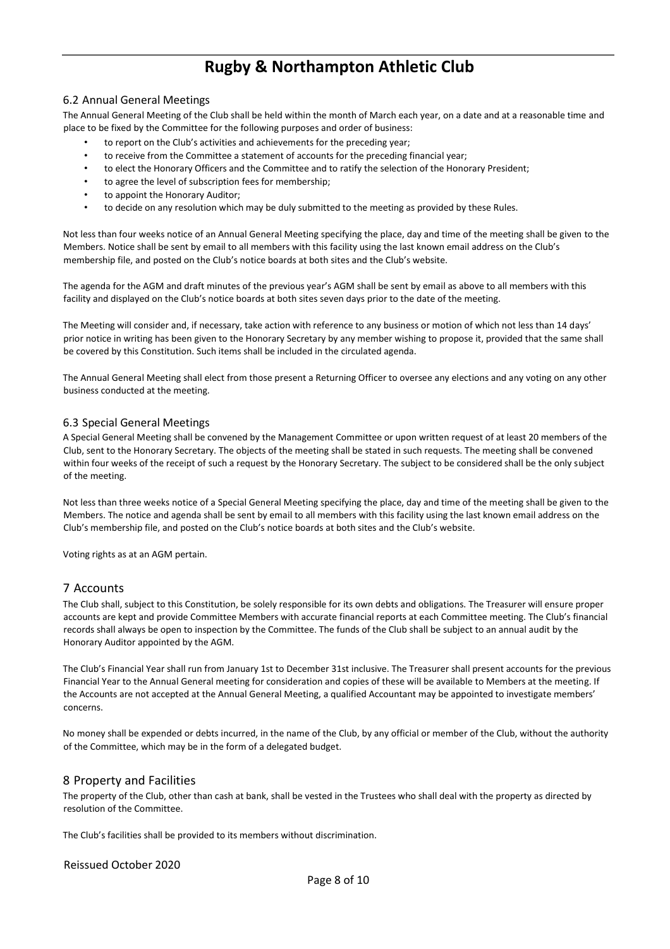### 6.2 Annual General Meetings

The Annual General Meeting of the Club shall be held within the month of March each year, on a date and at a reasonable time and place to be fixed by the Committee for the following purposes and order of business:

- to report on the Club's activities and achievements for the preceding year;
- to receive from the Committee a statement of accounts for the preceding financial year;
- to elect the Honorary Officers and the Committee and to ratify the selection of the Honorary President;
- to agree the level of subscription fees for membership;
- to appoint the Honorary Auditor;
- to decide on any resolution which may be duly submitted to the meeting as provided by these Rules.

Not less than four weeks notice of an Annual General Meeting specifying the place, day and time of the meeting shall be given to the Members. Notice shall be sent by email to all members with this facility using the last known email address on the Club's membership file, and posted on the Club's notice boards at both sites and the Club's website.

The agenda for the AGM and draft minutes of the previous year's AGM shall be sent by email as above to all members with this facility and displayed on the Club's notice boards at both sites seven days prior to the date of the meeting.

The Meeting will consider and, if necessary, take action with reference to any business or motion of which not less than 14 days' prior notice in writing has been given to the Honorary Secretary by any member wishing to propose it, provided that the same shall be covered by this Constitution. Such items shall be included in the circulated agenda.

The Annual General Meeting shall elect from those present a Returning Officer to oversee any elections and any voting on any other business conducted at the meeting.

#### 6.3 Special General Meetings

A Special General Meeting shall be convened by the Management Committee or upon written request of at least 20 members of the Club, sent to the Honorary Secretary. The objects of the meeting shall be stated in such requests. The meeting shall be convened within four weeks of the receipt of such a request by the Honorary Secretary. The subject to be considered shall be the only subject of the meeting.

Not less than three weeks notice of a Special General Meeting specifying the place, day and time of the meeting shall be given to the Members. The notice and agenda shall be sent by email to all members with this facility using the last known email address on the Club's membership file, and posted on the Club's notice boards at both sites and the Club's website.

Voting rights as at an AGM pertain.

#### 7 Accounts

The Club shall, subject to this Constitution, be solely responsible for its own debts and obligations. The Treasurer will ensure proper accounts are kept and provide Committee Members with accurate financial reports at each Committee meeting. The Club's financial records shall always be open to inspection by the Committee. The funds of the Club shall be subject to an annual audit by the Honorary Auditor appointed by the AGM.

The Club's Financial Year shall run from January 1st to December 31st inclusive. The Treasurer shall present accounts for the previous Financial Year to the Annual General meeting for consideration and copies of these will be available to Members at the meeting. If the Accounts are not accepted at the Annual General Meeting, a qualified Accountant may be appointed to investigate members' concerns.

No money shall be expended or debts incurred, in the name of the Club, by any official or member of the Club, without the authority of the Committee, which may be in the form of a delegated budget.

#### 8 Property and Facilities

The property of the Club, other than cash at bank, shall be vested in the Trustees who shall deal with the property as directed by resolution of the Committee.

The Club's facilities shall be provided to its members without discrimination.

Reissued October 2020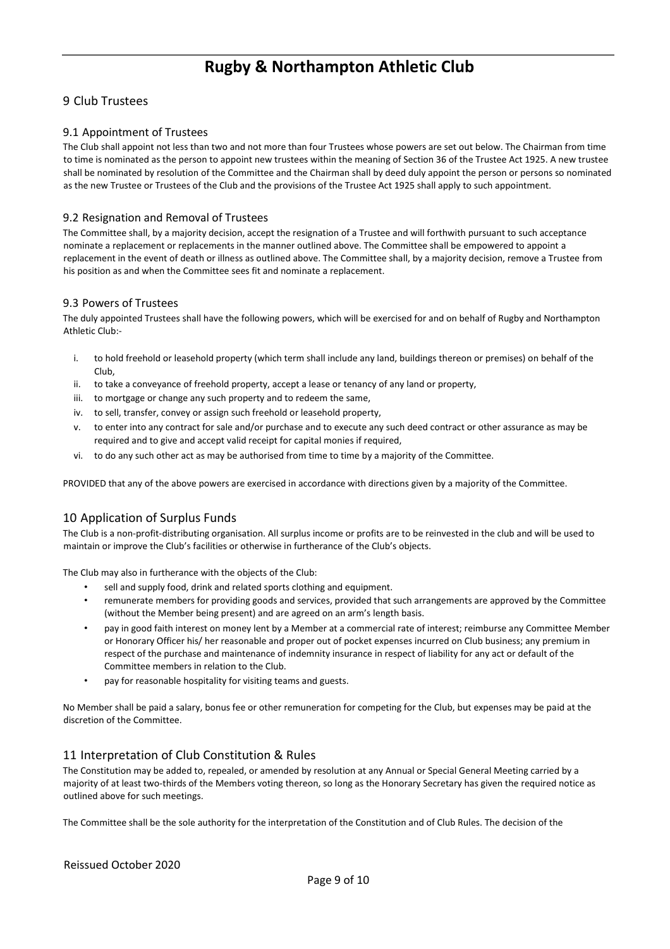## 9 Club Trustees

### 9.1 Appointment of Trustees

The Club shall appoint not less than two and not more than four Trustees whose powers are set out below. The Chairman from time to time is nominated as the person to appoint new trustees within the meaning of Section 36 of the Trustee Act 1925. A new trustee shall be nominated by resolution of the Committee and the Chairman shall by deed duly appoint the person or persons so nominated as the new Trustee or Trustees of the Club and the provisions of the Trustee Act 1925 shall apply to such appointment.

#### 9.2 Resignation and Removal of Trustees

The Committee shall, by a majority decision, accept the resignation of a Trustee and will forthwith pursuant to such acceptance nominate a replacement or replacements in the manner outlined above. The Committee shall be empowered to appoint a replacement in the event of death or illness as outlined above. The Committee shall, by a majority decision, remove a Trustee from his position as and when the Committee sees fit and nominate a replacement.

#### 9.3 Powers of Trustees

The duly appointed Trustees shall have the following powers, which will be exercised for and on behalf of Rugby and Northampton Athletic Club:-

- i. to hold freehold or leasehold property (which term shall include any land, buildings thereon or premises) on behalf of the Club,
- ii. to take a conveyance of freehold property, accept a lease or tenancy of any land or property,
- iii. to mortgage or change any such property and to redeem the same,
- iv. to sell, transfer, convey or assign such freehold or leasehold property,
- v. to enter into any contract for sale and/or purchase and to execute any such deed contract or other assurance as may be required and to give and accept valid receipt for capital monies if required,
- vi. to do any such other act as may be authorised from time to time by a majority of the Committee.

PROVIDED that any of the above powers are exercised in accordance with directions given by a majority of the Committee.

## 10 Application of Surplus Funds

The Club is a non-profit-distributing organisation. All surplus income or profits are to be reinvested in the club and will be used to maintain or improve the Club's facilities or otherwise in furtherance of the Club's objects.

The Club may also in furtherance with the objects of the Club:

- sell and supply food, drink and related sports clothing and equipment.
- remunerate members for providing goods and services, provided that such arrangements are approved by the Committee (without the Member being present) and are agreed on an arm's length basis.
- pay in good faith interest on money lent by a Member at a commercial rate of interest; reimburse any Committee Member or Honorary Officer his/ her reasonable and proper out of pocket expenses incurred on Club business; any premium in respect of the purchase and maintenance of indemnity insurance in respect of liability for any act or default of the Committee members in relation to the Club.
- pay for reasonable hospitality for visiting teams and guests.

No Member shall be paid a salary, bonus fee or other remuneration for competing for the Club, but expenses may be paid at the discretion of the Committee.

## 11 Interpretation of Club Constitution & Rules

The Constitution may be added to, repealed, or amended by resolution at any Annual or Special General Meeting carried by a majority of at least two-thirds of the Members voting thereon, so long as the Honorary Secretary has given the required notice as outlined above for such meetings.

The Committee shall be the sole authority for the interpretation of the Constitution and of Club Rules. The decision of the